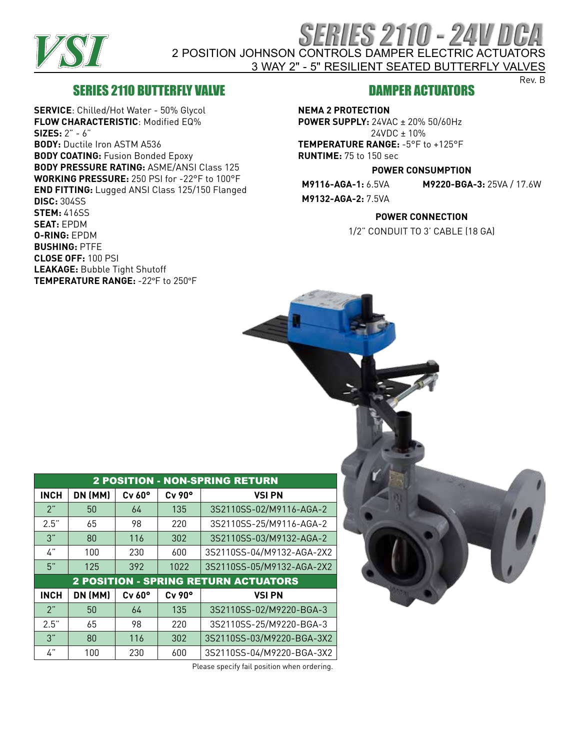

# SERIES 2110 - 24V DCA 2 POSITION JOHNSON CONTROLS DAMPER ELECTRIC ACTUATORS 3 WAY 2" - 5" RESILIENT SEATED BUTTERFLY VALVES

## SERIES 2110 BUTTERFLY VALVE

**SERVICE**: Chilled/Hot Water - 50% Glycol **FLOW CHARACTERISTIC**: Modified EQ% **SIZES:** 2" - 6" **BODY:** Ductile Iron ASTM A536 **BODY COATING:** Fusion Bonded Epoxy **BODY PRESSURE RATING:** ASME/ANSI Class 125 **WORKING PRESSURE:** 250 PSI for -22°F to 100°F **END FITTING:** Lugged ANSI Class 125/150 Flanged **DISC:** 304SS **STEM:** 416SS **SEAT:** EPDM **O-RING:** EPDM **BUSHING:** PTFE **CLOSE OFF:** 100 PSI **LEAKAGE:** Bubble Tight Shutoff **TEMPERATURE RANGE:** -22°F to 250°F

### DAMPER ACTUATORS

Rev. B

**NEMA 2 PROTECTION**

**POWER SUPPLY:** 24VAC ± 20% 50/60Hz 24VDC ± 10%

**TEMPERATURE RANGE:** -5°F to +125°F **RUNTIME:** 75 to 150 sec

#### **POWER CONSUMPTION**

**M9116-AGA-1:** 6.5VA **M9220-BGA-3:** 25VA / 17.6W **M9132-AGA-2:** 7.5VA

#### **POWER CONNECTION**

1/2" CONDUIT TO 3' CABLE (18 GA)

| <b>2 POSITION - NON-SPRING RETURN</b>       |         |                    |                    |                           |  |  |  |  |  |  |  |  |  |
|---------------------------------------------|---------|--------------------|--------------------|---------------------------|--|--|--|--|--|--|--|--|--|
| <b>INCH</b>                                 | DN (MM) | $Cv$ 60 $^{\circ}$ | $Cv$ 90 $^{\circ}$ | <b>VSI PN</b>             |  |  |  |  |  |  |  |  |  |
| 2"                                          | 50      | 64                 | 135                | 3S2110SS-02/M9116-AGA-2   |  |  |  |  |  |  |  |  |  |
| 2.5"                                        | 65      | 98                 | 220                | 3S2110SS-25/M9116-AGA-2   |  |  |  |  |  |  |  |  |  |
| 3"                                          | 80      | 116                | 302                | 3S2110SS-03/M9132-AGA-2   |  |  |  |  |  |  |  |  |  |
| 4"                                          | 100     | 230                | 600                | 3S2110SS-04/M9132-AGA-2X2 |  |  |  |  |  |  |  |  |  |
| 5"                                          | 125     | 392                | 1022               | 3S2110SS-05/M9132-AGA-2X2 |  |  |  |  |  |  |  |  |  |
| <b>2 POSITION - SPRING RETURN ACTUATORS</b> |         |                    |                    |                           |  |  |  |  |  |  |  |  |  |
| <b>INCH</b>                                 | DN (MM) | $Cv$ 60 $^{\circ}$ | $Cv$ 90 $^{\circ}$ | <b>VSI PN</b>             |  |  |  |  |  |  |  |  |  |
| 2"                                          | 50      | 64                 | 135                | 3S2110SS-02/M9220-BGA-3   |  |  |  |  |  |  |  |  |  |
|                                             |         |                    |                    |                           |  |  |  |  |  |  |  |  |  |
| 2.5"                                        | 65      | 98                 | 220                | 3S2110SS-25/M9220-BGA-3   |  |  |  |  |  |  |  |  |  |
| 3"                                          | 80      | 116                | 302                | 3S2110SS-03/M9220-BGA-3X2 |  |  |  |  |  |  |  |  |  |

Please specify fail position when ordering.